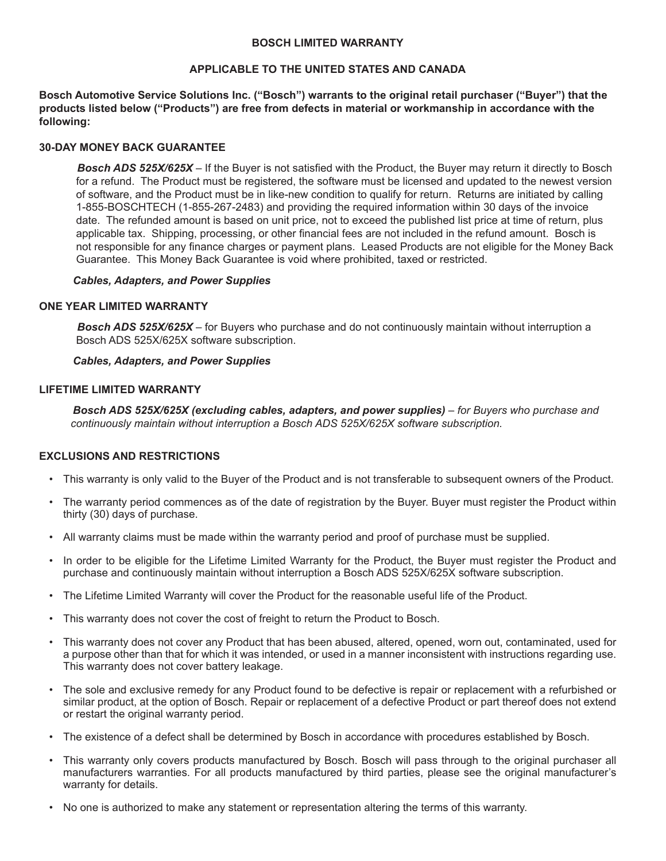#### **BOSCH LIMITED WARRANTY**

# **APPLICABLE TO THE UNITED STATES AND CANADA**

**Bosch Automotive Service Solutions Inc. ("Bosch") warrants to the original retail purchaser ("Buyer") that the products listed below ("Products") are free from defects in material or workmanship in accordance with the following:** 

# **30-DAY MONEY BACK GUARANTEE**

*Bosch ADS 525X/625X* – If the Buyer is not satisfied with the Product, the Buyer may return it directly to Bosch for a refund. The Product must be registered, the software must be licensed and updated to the newest version of software, and the Product must be in like-new condition to qualify for return. Returns are initiated by calling 1-855-BOSCHTECH (1-855-267-2483) and providing the required information within 30 days of the invoice date. The refunded amount is based on unit price, not to exceed the published list price at time of return, plus applicable tax. Shipping, processing, or other financial fees are not included in the refund amount. Bosch is not responsible for any finance charges or payment plans. Leased Products are not eligible for the Money Back Guarantee. This Money Back Guarantee is void where prohibited, taxed or restricted.

## *Cables, Adapters, and Power Supplies*

#### **ONE YEAR LIMITED WARRANTY**

*Bosch ADS 525X/625X* – for Buyers who purchase and do not continuously maintain without interruption a Bosch ADS 525X/625X software subscription.

#### *Cables, Adapters, and Power Supplies*

## **LIFETIME LIMITED WARRANTY**

*Bosch ADS 525X/625X (excluding cables, adapters, and power supplies) – for Buyers who purchase and continuously maintain without interruption a Bosch ADS 525X/625X software subscription.*

# **EXCLUSIONS AND RESTRICTIONS**

- This warranty is only valid to the Buyer of the Product and is not transferable to subsequent owners of the Product.
- The warranty period commences as of the date of registration by the Buyer. Buyer must register the Product within thirty (30) days of purchase.
- All warranty claims must be made within the warranty period and proof of purchase must be supplied.
- In order to be eligible for the Lifetime Limited Warranty for the Product, the Buyer must register the Product and purchase and continuously maintain without interruption a Bosch ADS 525X/625X software subscription.
- The Lifetime Limited Warranty will cover the Product for the reasonable useful life of the Product.
- This warranty does not cover the cost of freight to return the Product to Bosch.
- This warranty does not cover any Product that has been abused, altered, opened, worn out, contaminated, used for a purpose other than that for which it was intended, or used in a manner inconsistent with instructions regarding use. This warranty does not cover battery leakage.
- The sole and exclusive remedy for any Product found to be defective is repair or replacement with a refurbished or similar product, at the option of Bosch. Repair or replacement of a defective Product or part thereof does not extend or restart the original warranty period.
- The existence of a defect shall be determined by Bosch in accordance with procedures established by Bosch.
- This warranty only covers products manufactured by Bosch. Bosch will pass through to the original purchaser all manufacturers warranties. For all products manufactured by third parties, please see the original manufacturer's warranty for details.
- No one is authorized to make any statement or representation altering the terms of this warranty.